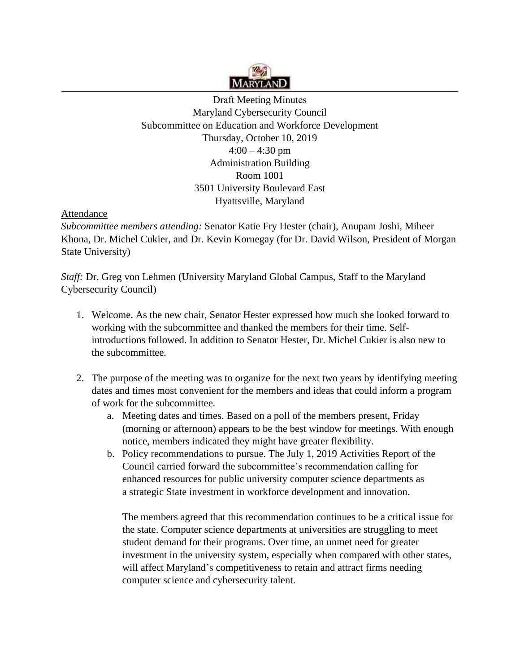

Draft Meeting Minutes Maryland Cybersecurity Council Subcommittee on Education and Workforce Development Thursday, October 10, 2019  $4:00 - 4:30$  pm Administration Building Room 1001 3501 University Boulevard East Hyattsville, Maryland

## **Attendance**

 *Subcommittee members attending:* Senator Katie Fry Hester (chair), Anupam Joshi, Miheer Khona, Dr. Michel Cukier, and Dr. Kevin Kornegay (for Dr. David Wilson, President of Morgan State University)

*Staff:* Dr. Greg von Lehmen (University Maryland Global Campus, Staff to the Maryland Cybersecurity Council)

- 1. Welcome. As the new chair, Senator Hester expressed how much she looked forward to working with the subcommittee and thanked the members for their time. Selfintroductions followed. In addition to Senator Hester, Dr. Michel Cukier is also new to the subcommittee.
- 2. The purpose of the meeting was to organize for the next two years by identifying meeting dates and times most convenient for the members and ideas that could inform a program of work for the subcommittee.
	- a. Meeting dates and times. Based on a poll of the members present, Friday (morning or afternoon) appears to be the best window for meetings. With enough notice, members indicated they might have greater flexibility.
	- b. Policy recommendations to pursue. The July 1, 2019 Activities Report of the Council carried forward the subcommittee's recommendation calling for enhanced resources for public university computer science departments as a strategic State investment in workforce development and innovation.

The members agreed that this recommendation continues to be a critical issue for the state. Computer science departments at universities are struggling to meet student demand for their programs. Over time, an unmet need for greater investment in the university system, especially when compared with other states, will affect Maryland's competitiveness to retain and attract firms needing computer science and cybersecurity talent.